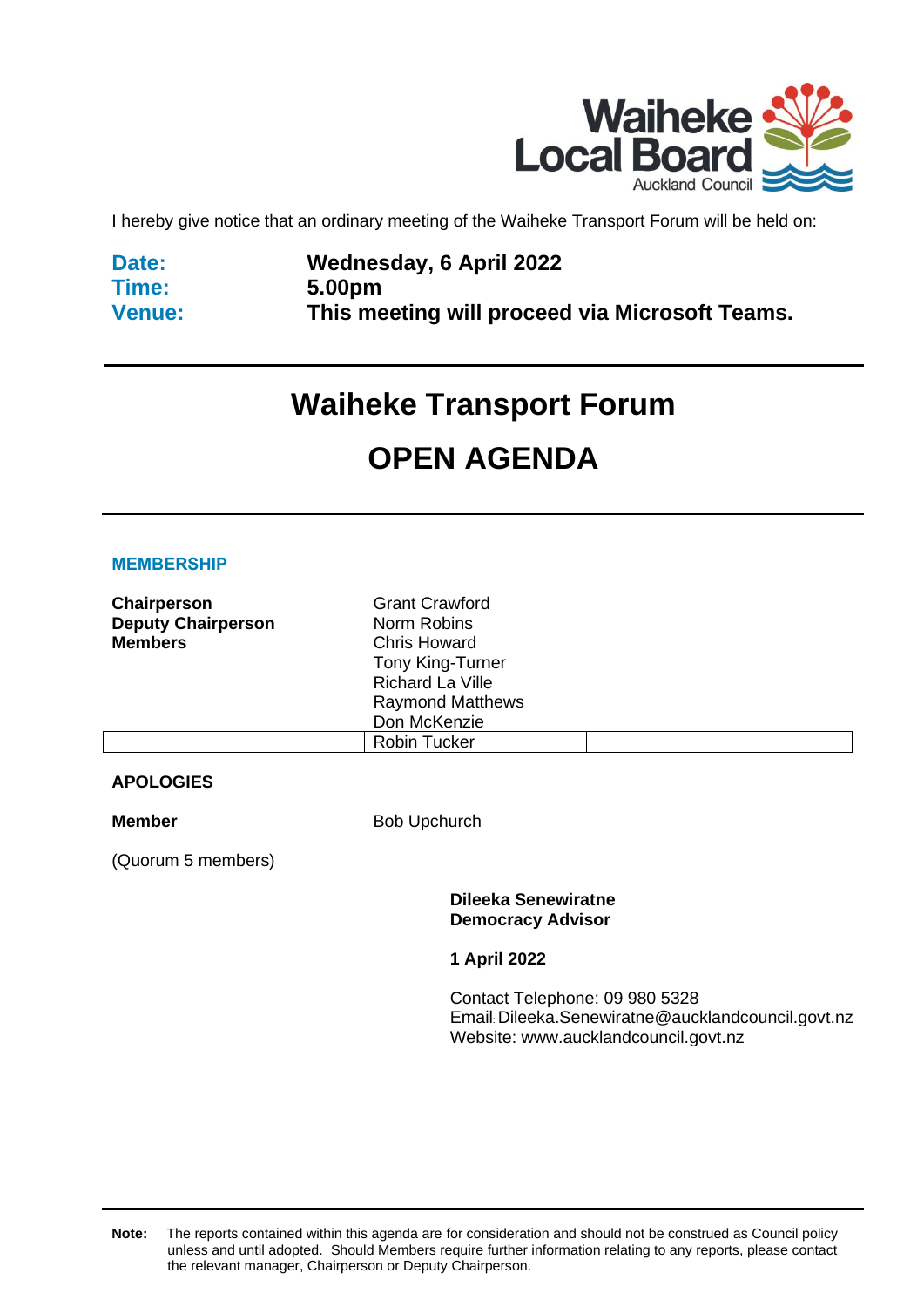

I hereby give notice that an ordinary meeting of the Waiheke Transport Forum will be held on:

**Date: Time: Venue:**

### **Wednesday, 6 April 2022 5.00pm This meeting will proceed via Microsoft Teams.**

# **Waiheke Transport Forum OPEN AGENDA**

#### **MEMBERSHIP**

| Chairperson               | <b>Grant Crawford</b>   |  |
|---------------------------|-------------------------|--|
| <b>Deputy Chairperson</b> | Norm Robins             |  |
| <b>Members</b>            | <b>Chris Howard</b>     |  |
|                           | <b>Tony King-Turner</b> |  |
|                           | Richard La Ville        |  |
|                           | <b>Raymond Matthews</b> |  |
|                           | Don McKenzie            |  |
|                           | Robin Tucker            |  |

### **APOLOGIES**

**Member** Bob Upchurch

(Quorum 5 members)

**Dileeka Senewiratne Democracy Advisor**

**1 April 2022**

Contact Telephone: 09 980 5328 Email: Dileeka.Senewiratne@aucklandcouncil.govt.nz Website: www.aucklandcouncil.govt.nz

**Note:** The reports contained within this agenda are for consideration and should not be construed as Council policy unless and until adopted. Should Members require further information relating to any reports, please contact the relevant manager, Chairperson or Deputy Chairperson.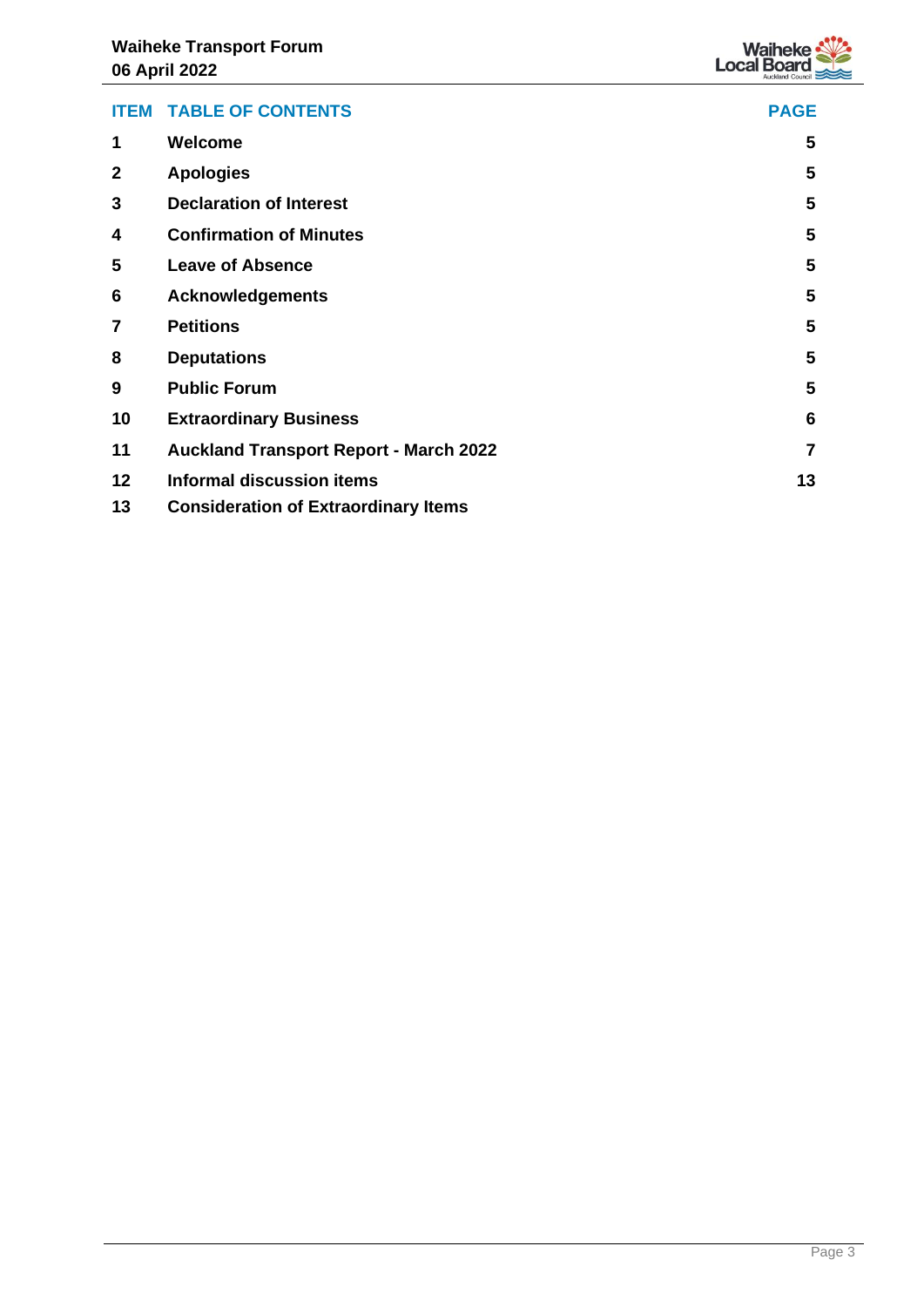

| <b>ITEM</b>  | <b>TABLE OF CONTENTS</b>                      | <b>PAGE</b>    |
|--------------|-----------------------------------------------|----------------|
| 1            | <b>Welcome</b>                                | 5              |
| $\mathbf{2}$ | <b>Apologies</b>                              | 5              |
| 3            | <b>Declaration of Interest</b>                | 5              |
| 4            | <b>Confirmation of Minutes</b>                | 5              |
| 5            | <b>Leave of Absence</b>                       | 5              |
| 6            | <b>Acknowledgements</b>                       | 5              |
| 7            | <b>Petitions</b>                              | 5              |
| 8            | <b>Deputations</b>                            | 5              |
| 9            | <b>Public Forum</b>                           | 5              |
| 10           | <b>Extraordinary Business</b>                 | 6              |
| 11           | <b>Auckland Transport Report - March 2022</b> | $\overline{7}$ |
| 12           | <b>Informal discussion items</b>              | 13             |
| 13           | <b>Consideration of Extraordinary Items</b>   |                |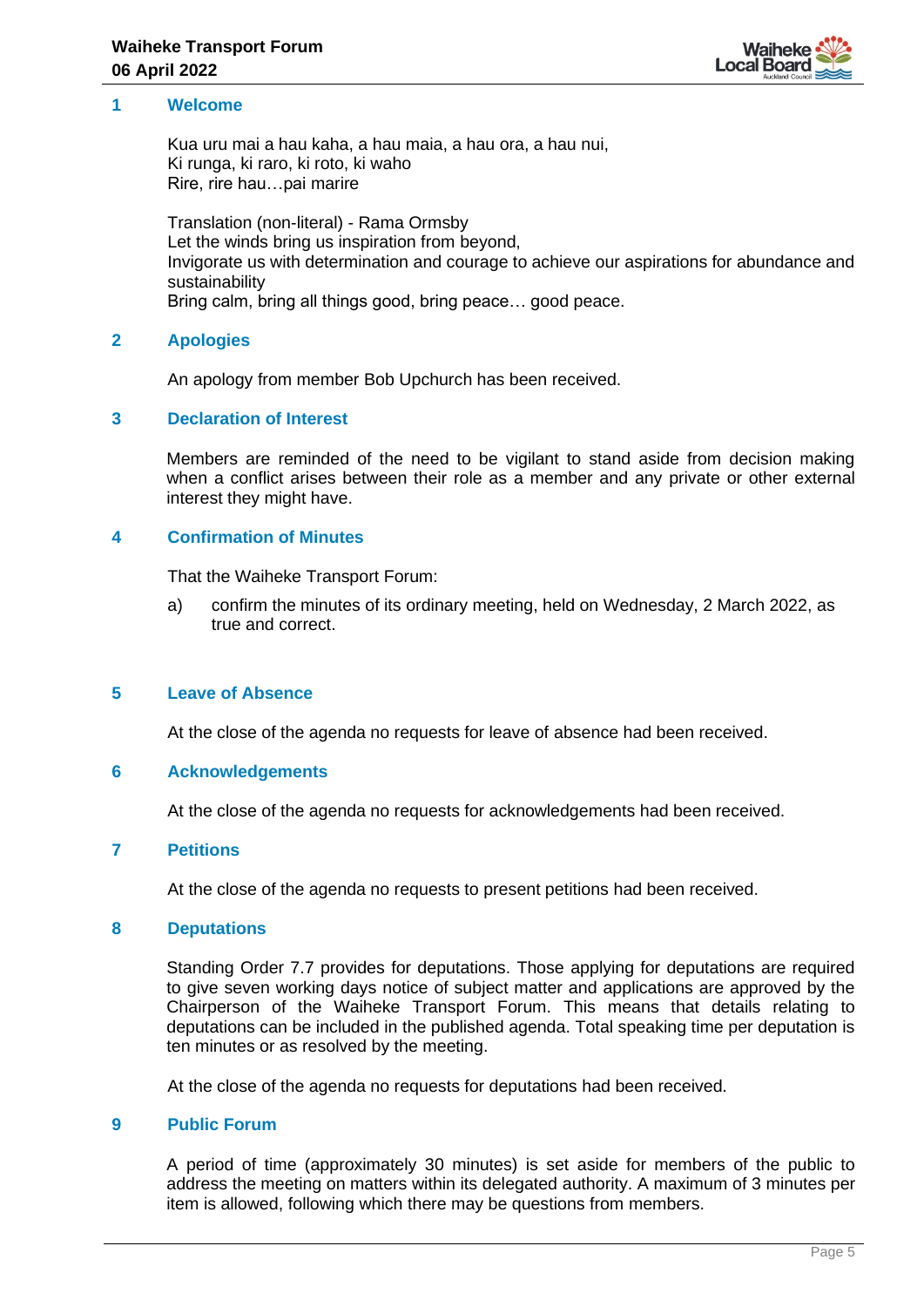

### <span id="page-4-1"></span><span id="page-4-0"></span>**1 Welcome**

Kua uru mai a hau kaha, a hau maia, a hau ora, a hau nui, Ki runga, ki raro, ki roto, ki waho Rire, rire hau…pai marire

Translation (non-literal) - Rama Ormsby Let the winds bring us inspiration from beyond, Invigorate us with determination and courage to achieve our aspirations for abundance and sustainability Bring calm, bring all things good, bring peace… good peace.

#### **2 Apologies**

An apology from member Bob Upchurch has been received.

### <span id="page-4-2"></span>**3 Declaration of Interest**

Members are reminded of the need to be vigilant to stand aside from decision making when a conflict arises between their role as a member and any private or other external interest they might have.

#### <span id="page-4-3"></span>**4 Confirmation of Minutes**

That the Waiheke Transport Forum:

a) confirm the minutes of its ordinary meeting, held on Wednesday, 2 March 2022, as true and correct.

#### <span id="page-4-4"></span>**5 Leave of Absence**

At the close of the agenda no requests for leave of absence had been received.

#### <span id="page-4-5"></span>**6 Acknowledgements**

At the close of the agenda no requests for acknowledgements had been received.

#### <span id="page-4-6"></span>**7 Petitions**

At the close of the agenda no requests to present petitions had been received.

#### <span id="page-4-7"></span>**8 Deputations**

Standing Order 7.7 provides for deputations. Those applying for deputations are required to give seven working days notice of subject matter and applications are approved by the Chairperson of the Waiheke Transport Forum. This means that details relating to deputations can be included in the published agenda. Total speaking time per deputation is ten minutes or as resolved by the meeting.

At the close of the agenda no requests for deputations had been received.

#### <span id="page-4-8"></span>**9 Public Forum**

A period of time (approximately 30 minutes) is set aside for members of the public to address the meeting on matters within its delegated authority. A maximum of 3 minutes per item is allowed, following which there may be questions from members.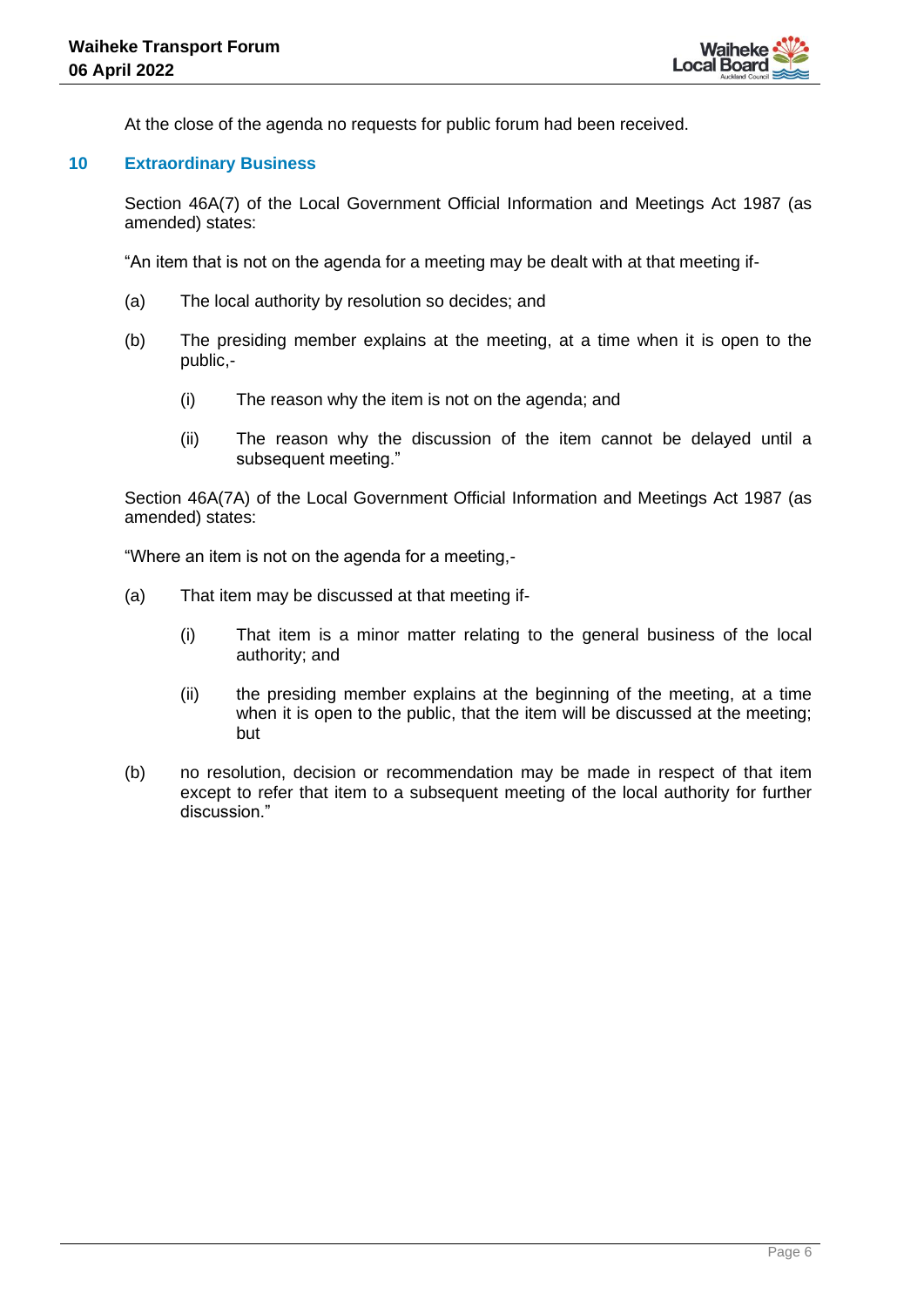At the close of the agenda no requests for public forum had been received.

### <span id="page-5-0"></span>**10 Extraordinary Business**

Section 46A(7) of the Local Government Official Information and Meetings Act 1987 (as amended) states:

"An item that is not on the agenda for a meeting may be dealt with at that meeting if-

- (a) The local authority by resolution so decides; and
- (b) The presiding member explains at the meeting, at a time when it is open to the public,-
	- (i) The reason why the item is not on the agenda; and
	- (ii) The reason why the discussion of the item cannot be delayed until a subsequent meeting."

Section 46A(7A) of the Local Government Official Information and Meetings Act 1987 (as amended) states:

"Where an item is not on the agenda for a meeting,-

- (a) That item may be discussed at that meeting if-
	- (i) That item is a minor matter relating to the general business of the local authority; and
	- (ii) the presiding member explains at the beginning of the meeting, at a time when it is open to the public, that the item will be discussed at the meeting; but
- (b) no resolution, decision or recommendation may be made in respect of that item except to refer that item to a subsequent meeting of the local authority for further discussion."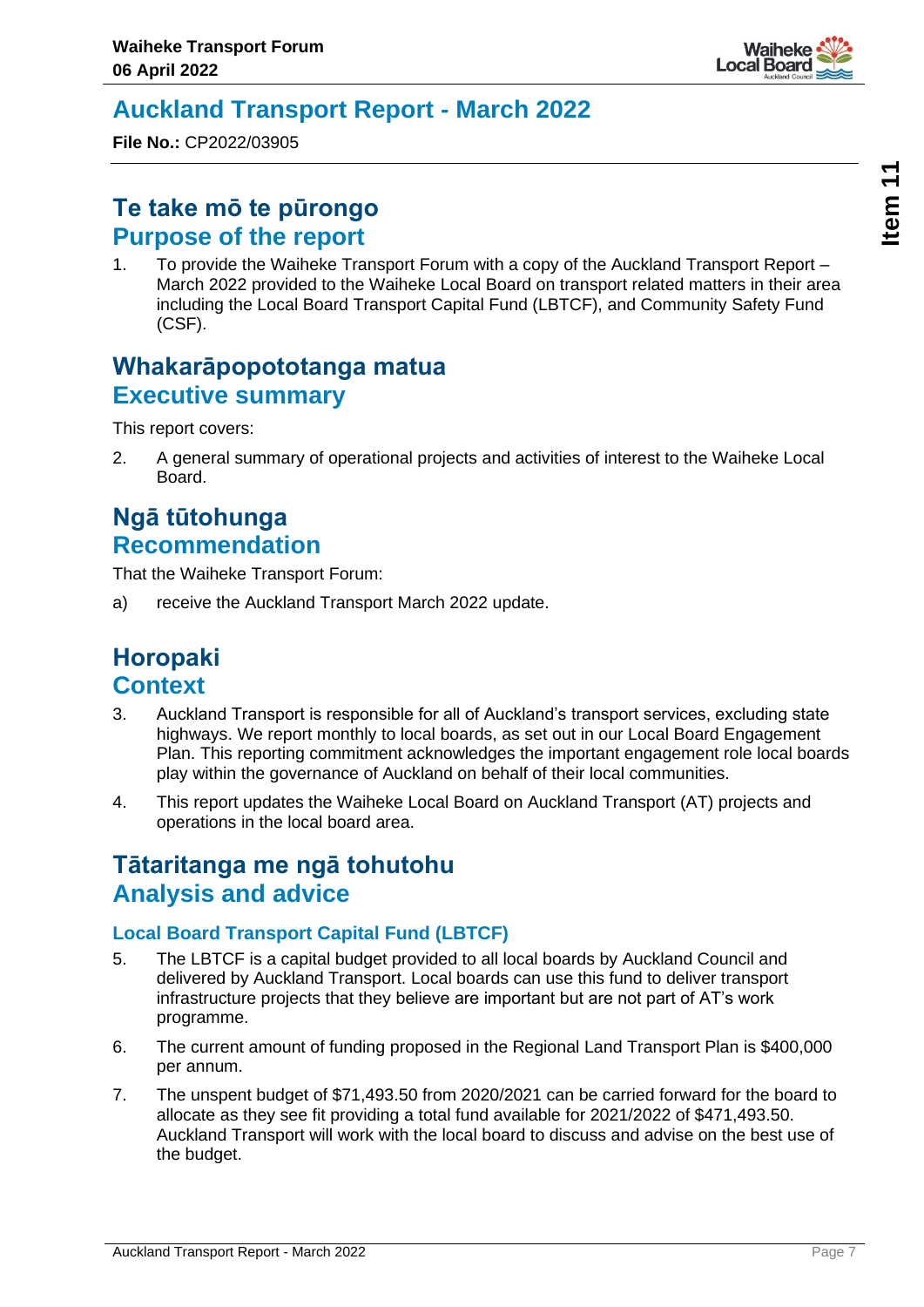

# <span id="page-6-0"></span>**Auckland Transport Report - March 2022**

**File No.:** CP2022/03905

### **Te take mō te pūrongo Purpose of the report**

1. To provide the Waiheke Transport Forum with a copy of the Auckland Transport Report – March 2022 provided to the Waiheke Local Board on transport related matters in their area including the Local Board Transport Capital Fund (LBTCF), and Community Safety Fund (CSF).

### **Whakarāpopototanga matua Executive summary**

This report covers:

2. A general summary of operational projects and activities of interest to the Waiheke Local Board.

# **Ngā tūtohunga Recommendation**

That the Waiheke Transport Forum:

a) receive the Auckland Transport March 2022 update.

# **Horopaki Context**

- 3. Auckland Transport is responsible for all of Auckland's transport services, excluding state highways. We report monthly to local boards, as set out in our Local Board Engagement Plan. This reporting commitment acknowledges the important engagement role local boards play within the governance of Auckland on behalf of their local communities.
- 4. This report updates the Waiheke Local Board on Auckland Transport (AT) projects and operations in the local board area.

# **Tātaritanga me ngā tohutohu Analysis and advice**

### **Local Board Transport Capital Fund (LBTCF)**

- 5. The LBTCF is a capital budget provided to all local boards by Auckland Council and delivered by Auckland Transport. Local boards can use this fund to deliver transport infrastructure projects that they believe are important but are not part of AT's work programme.
- 6. The current amount of funding proposed in the Regional Land Transport Plan is \$400,000 per annum.
- 7. The unspent budget of \$71,493.50 from 2020/2021 can be carried forward for the board to allocate as they see fit providing a total fund available for 2021/2022 of \$471,493.50. Auckland Transport will work with the local board to discuss and advise on the best use of the budget.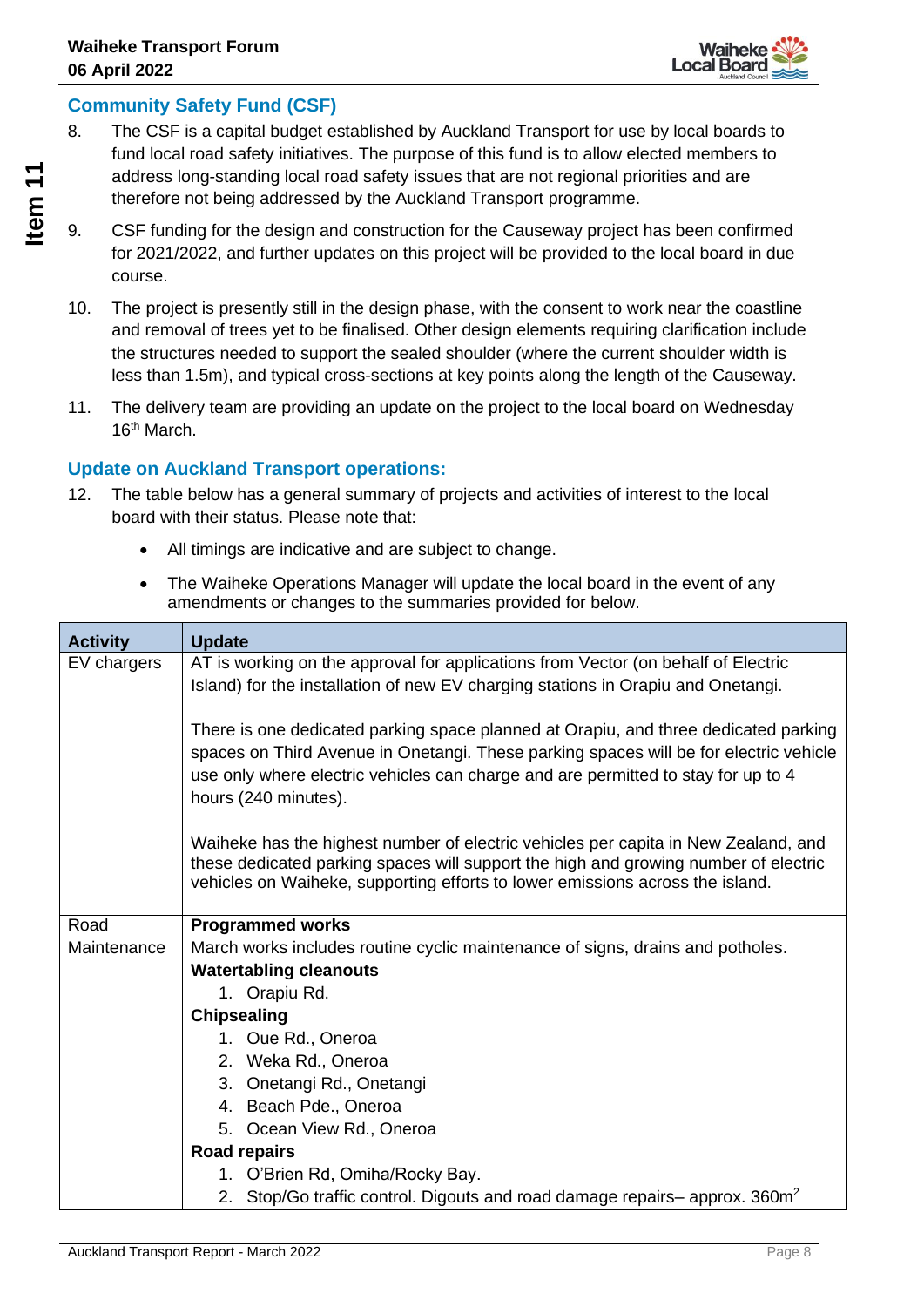

### **Community Safety Fund (CSF)**

- 8. The CSF is a capital budget established by Auckland Transport for use by local boards to fund local road safety initiatives. The purpose of this fund is to allow elected members to address long-standing local road safety issues that are not regional priorities and are therefore not being addressed by the Auckland Transport programme.
- 9. CSF funding for the design and construction for the Causeway project has been confirmed for 2021/2022, and further updates on this project will be provided to the local board in due course.
- 10. The project is presently still in the design phase, with the consent to work near the coastline and removal of trees yet to be finalised. Other design elements requiring clarification include the structures needed to support the sealed shoulder (where the current shoulder width is less than 1.5m), and typical cross-sections at key points along the length of the Causeway.
- 11. The delivery team are providing an update on the project to the local board on Wednesday 16th March.

### **Update on Auckland Transport operations:**

- 12. The table below has a general summary of projects and activities of interest to the local board with their status. Please note that:
	- All timings are indicative and are subject to change.
	- The Waiheke Operations Manager will update the local board in the event of any amendments or changes to the summaries provided for below.

| <b>Activity</b> | <b>Update</b>                                                                                                                                                                                                                                                                             |
|-----------------|-------------------------------------------------------------------------------------------------------------------------------------------------------------------------------------------------------------------------------------------------------------------------------------------|
| EV chargers     | AT is working on the approval for applications from Vector (on behalf of Electric<br>Island) for the installation of new EV charging stations in Orapiu and Onetangi.                                                                                                                     |
|                 | There is one dedicated parking space planned at Orapiu, and three dedicated parking<br>spaces on Third Avenue in Onetangi. These parking spaces will be for electric vehicle<br>use only where electric vehicles can charge and are permitted to stay for up to 4<br>hours (240 minutes). |
|                 | Waiheke has the highest number of electric vehicles per capita in New Zealand, and<br>these dedicated parking spaces will support the high and growing number of electric<br>vehicles on Waiheke, supporting efforts to lower emissions across the island.                                |
| Road            | <b>Programmed works</b>                                                                                                                                                                                                                                                                   |
| Maintenance     | March works includes routine cyclic maintenance of signs, drains and potholes.                                                                                                                                                                                                            |
|                 | <b>Watertabling cleanouts</b>                                                                                                                                                                                                                                                             |
|                 | 1. Orapiu Rd.                                                                                                                                                                                                                                                                             |
|                 | <b>Chipsealing</b>                                                                                                                                                                                                                                                                        |
|                 | 1. Oue Rd., Oneroa                                                                                                                                                                                                                                                                        |
|                 | 2. Weka Rd., Oneroa                                                                                                                                                                                                                                                                       |
|                 | 3. Onetangi Rd., Onetangi                                                                                                                                                                                                                                                                 |
|                 | 4. Beach Pde., Oneroa                                                                                                                                                                                                                                                                     |
|                 | 5. Ocean View Rd., Oneroa                                                                                                                                                                                                                                                                 |
|                 | <b>Road repairs</b>                                                                                                                                                                                                                                                                       |
|                 | 1. O'Brien Rd, Omiha/Rocky Bay.                                                                                                                                                                                                                                                           |
|                 | 2. Stop/Go traffic control. Digouts and road damage repairs– approx. 360m <sup>2</sup>                                                                                                                                                                                                    |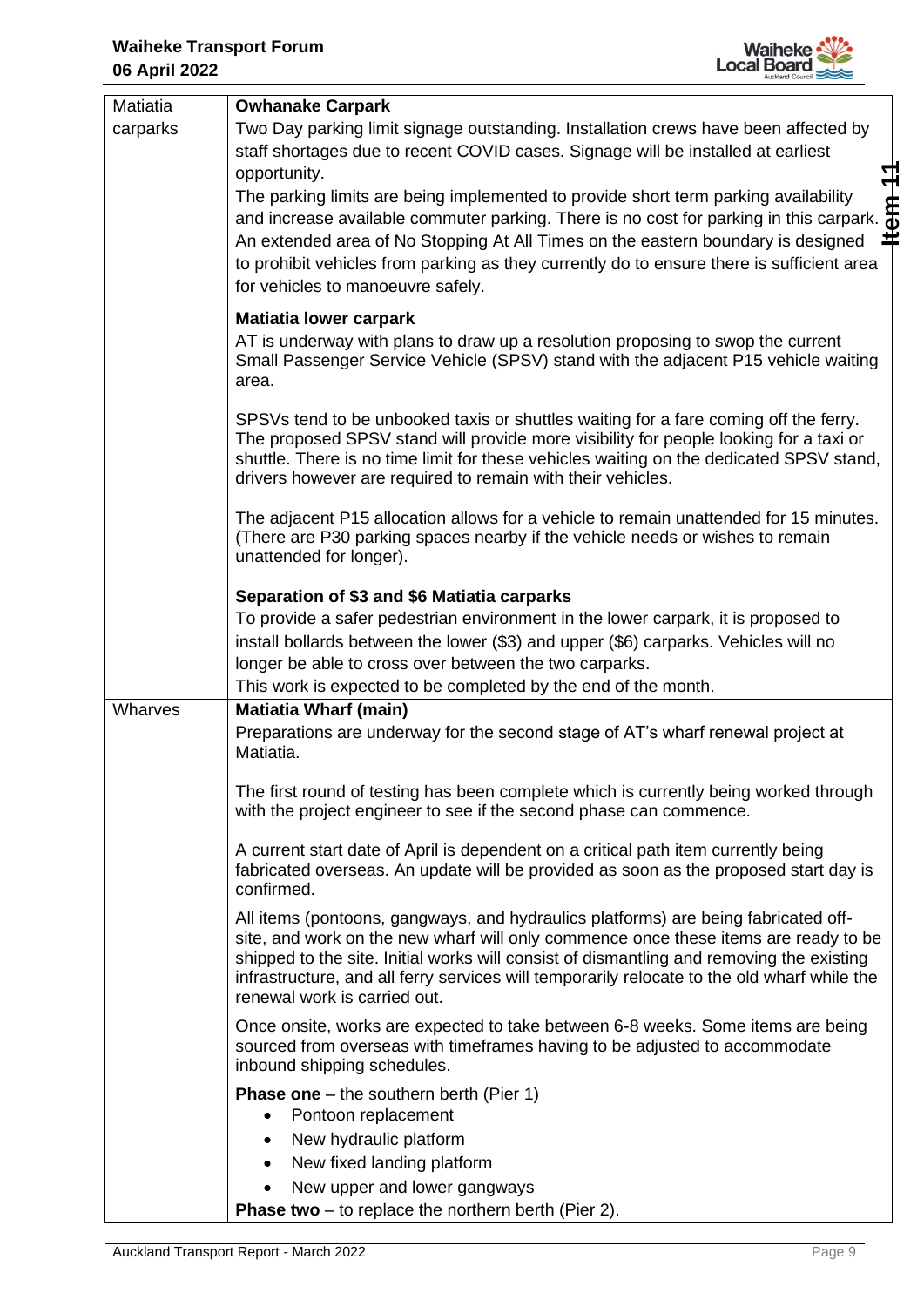

| Matiatia | <b>Owhanake Carpark</b>                                                                                                                                                                                                                                                                                                                                                                                                                 |  |
|----------|-----------------------------------------------------------------------------------------------------------------------------------------------------------------------------------------------------------------------------------------------------------------------------------------------------------------------------------------------------------------------------------------------------------------------------------------|--|
| carparks | Two Day parking limit signage outstanding. Installation crews have been affected by<br>staff shortages due to recent COVID cases. Signage will be installed at earliest                                                                                                                                                                                                                                                                 |  |
|          | opportunity.<br>$rac{4}{3}$<br>The parking limits are being implemented to provide short term parking availability<br>and increase available commuter parking. There is no cost for parking in this carpark.<br>포<br>An extended area of No Stopping At All Times on the eastern boundary is designed<br>to prohibit vehicles from parking as they currently do to ensure there is sufficient area<br>for vehicles to manoeuvre safely. |  |
|          | <b>Matiatia lower carpark</b><br>AT is underway with plans to draw up a resolution proposing to swop the current<br>Small Passenger Service Vehicle (SPSV) stand with the adjacent P15 vehicle waiting<br>area.                                                                                                                                                                                                                         |  |
|          | SPSVs tend to be unbooked taxis or shuttles waiting for a fare coming off the ferry.<br>The proposed SPSV stand will provide more visibility for people looking for a taxi or<br>shuttle. There is no time limit for these vehicles waiting on the dedicated SPSV stand,<br>drivers however are required to remain with their vehicles.                                                                                                 |  |
|          | The adjacent P15 allocation allows for a vehicle to remain unattended for 15 minutes.<br>(There are P30 parking spaces nearby if the vehicle needs or wishes to remain<br>unattended for longer).                                                                                                                                                                                                                                       |  |
|          | Separation of \$3 and \$6 Matiatia carparks<br>To provide a safer pedestrian environment in the lower carpark, it is proposed to<br>install bollards between the lower (\$3) and upper (\$6) carparks. Vehicles will no<br>longer be able to cross over between the two carparks.<br>This work is expected to be completed by the end of the month.                                                                                     |  |
| Wharves  | <b>Matiatia Wharf (main)</b>                                                                                                                                                                                                                                                                                                                                                                                                            |  |
|          | Preparations are underway for the second stage of AT's wharf renewal project at<br>Matiatia.                                                                                                                                                                                                                                                                                                                                            |  |
|          | The first round of testing has been complete which is currently being worked through<br>with the project engineer to see if the second phase can commence.                                                                                                                                                                                                                                                                              |  |
|          | A current start date of April is dependent on a critical path item currently being<br>fabricated overseas. An update will be provided as soon as the proposed start day is<br>confirmed.                                                                                                                                                                                                                                                |  |
|          | All items (pontoons, gangways, and hydraulics platforms) are being fabricated off-<br>site, and work on the new wharf will only commence once these items are ready to be<br>shipped to the site. Initial works will consist of dismantling and removing the existing<br>infrastructure, and all ferry services will temporarily relocate to the old wharf while the<br>renewal work is carried out.                                    |  |
|          | Once onsite, works are expected to take between 6-8 weeks. Some items are being<br>sourced from overseas with timeframes having to be adjusted to accommodate<br>inbound shipping schedules.                                                                                                                                                                                                                                            |  |
|          | <b>Phase one</b> $-$ the southern berth (Pier 1)<br>Pontoon replacement<br>$\bullet$<br>New hydraulic platform<br>$\bullet$                                                                                                                                                                                                                                                                                                             |  |
|          | New fixed landing platform                                                                                                                                                                                                                                                                                                                                                                                                              |  |
|          | New upper and lower gangways<br>$\bullet$                                                                                                                                                                                                                                                                                                                                                                                               |  |
|          | <b>Phase two</b> $-$ to replace the northern berth (Pier 2).                                                                                                                                                                                                                                                                                                                                                                            |  |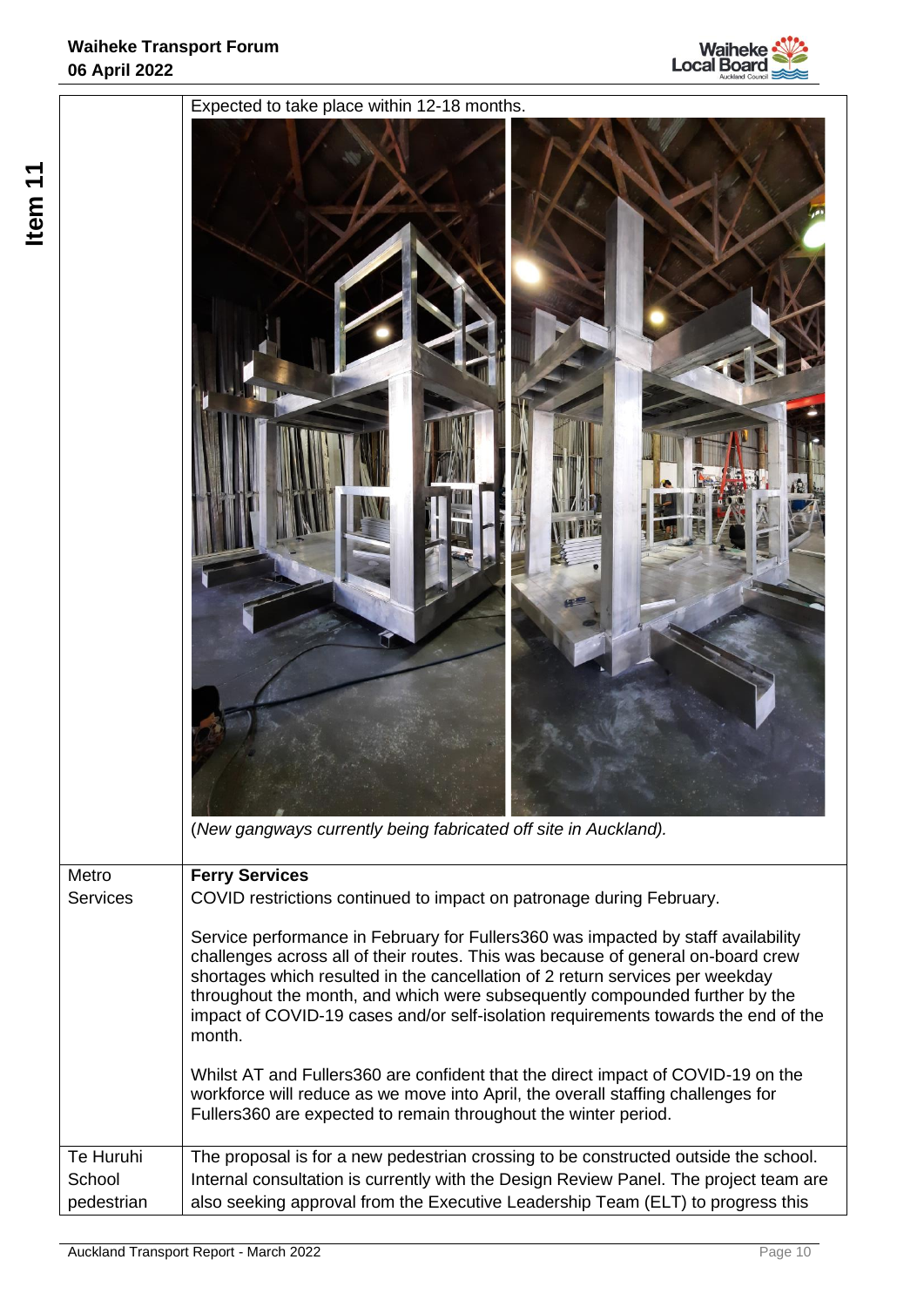

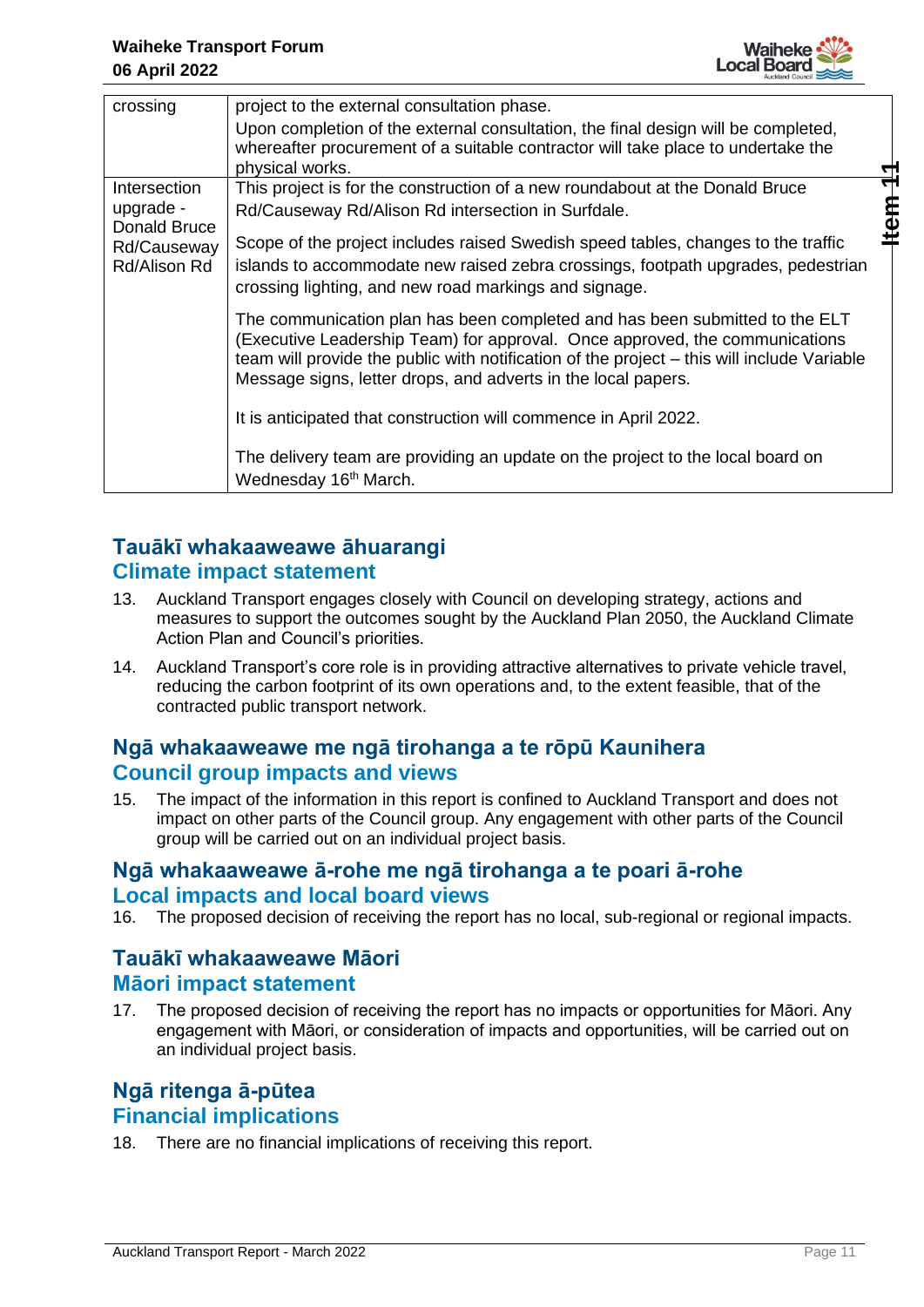

| crossing                    | project to the external consultation phase.                                                                                                                                                                                                                                                                               |
|-----------------------------|---------------------------------------------------------------------------------------------------------------------------------------------------------------------------------------------------------------------------------------------------------------------------------------------------------------------------|
|                             | Upon completion of the external consultation, the final design will be completed,<br>whereafter procurement of a suitable contractor will take place to undertake the<br>physical works.                                                                                                                                  |
| Intersection                | This project is for the construction of a new roundabout at the Donald Bruce                                                                                                                                                                                                                                              |
| upgrade -<br>Donald Bruce   | Rd/Causeway Rd/Alison Rd intersection in Surfdale.<br>a<br>G                                                                                                                                                                                                                                                              |
| Rd/Causeway<br>Rd/Alison Rd | Scope of the project includes raised Swedish speed tables, changes to the traffic<br>islands to accommodate new raised zebra crossings, footpath upgrades, pedestrian<br>crossing lighting, and new road markings and signage.                                                                                            |
|                             | The communication plan has been completed and has been submitted to the ELT<br>(Executive Leadership Team) for approval. Once approved, the communications<br>team will provide the public with notification of the project - this will include Variable<br>Message signs, letter drops, and adverts in the local papers. |
|                             | It is anticipated that construction will commence in April 2022.                                                                                                                                                                                                                                                          |
|                             | The delivery team are providing an update on the project to the local board on<br>Wednesday 16 <sup>th</sup> March.                                                                                                                                                                                                       |

### **Tauākī whakaaweawe āhuarangi Climate impact statement**

- 13. Auckland Transport engages closely with Council on developing strategy, actions and measures to support the outcomes sought by the Auckland Plan 2050, the Auckland Climate Action Plan and Council's priorities.
- 14. Auckland Transport's core role is in providing attractive alternatives to private vehicle travel, reducing the carbon footprint of its own operations and, to the extent feasible, that of the contracted public transport network.

### **Ngā whakaaweawe me ngā tirohanga a te rōpū Kaunihera Council group impacts and views**

15. The impact of the information in this report is confined to Auckland Transport and does not impact on other parts of the Council group. Any engagement with other parts of the Council group will be carried out on an individual project basis.

### **Ngā whakaaweawe ā-rohe me ngā tirohanga a te poari ā-rohe Local impacts and local board views**

16. The proposed decision of receiving the report has no local, sub-regional or regional impacts.

### **Tauākī whakaaweawe Māori Māori impact statement**

17. The proposed decision of receiving the report has no impacts or opportunities for Māori. Any engagement with Māori, or consideration of impacts and opportunities, will be carried out on an individual project basis.

### **Ngā ritenga ā-pūtea Financial implications**

18. There are no financial implications of receiving this report.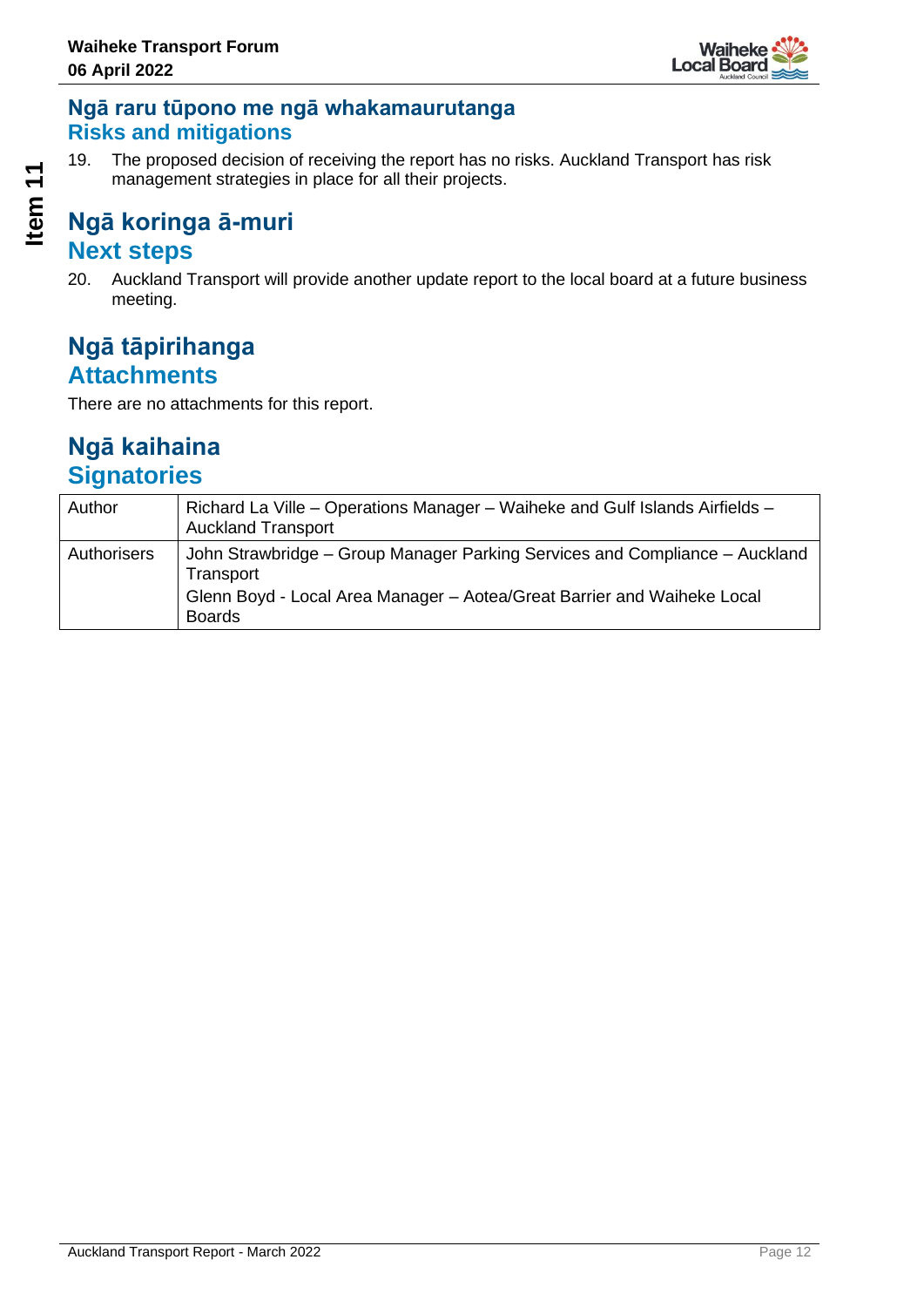

### **Ngā raru tūpono me ngā whakamaurutanga Risks and mitigations**

19. The proposed decision of receiving the report has no risks. Auckland Transport has risk management strategies in place for all their projects.

## **Ngā koringa ā-muri Next steps**

20. Auckland Transport will provide another update report to the local board at a future business meeting.

## **Ngā tāpirihanga Attachments**

There are no attachments for this report.

# **Ngā kaihaina Signatories**

| Author      | Richard La Ville – Operations Manager – Waiheke and Gulf Islands Airfields –<br><b>Auckland Transport</b> |
|-------------|-----------------------------------------------------------------------------------------------------------|
| Authorisers | John Strawbridge – Group Manager Parking Services and Compliance – Auckland<br>Transport                  |
|             | Glenn Boyd - Local Area Manager - Aotea/Great Barrier and Waiheke Local<br><b>Boards</b>                  |